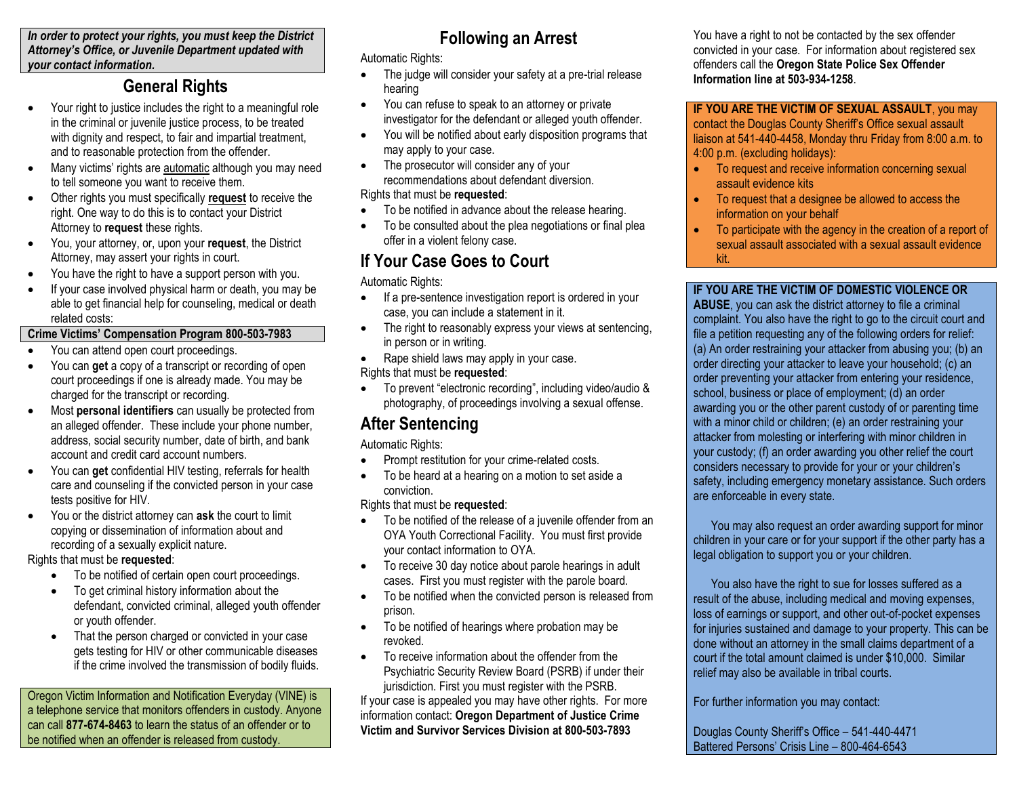*In order to protect your rights, you must keep the District Attorney's Office, or Juvenile Department updated with your contact information.*

### **General Rights**

- Your right to justice includes the right to a meaningful role in the criminal or juvenile justice process, to be treated with dignity and respect, to fair and impartial treatment, and to reasonable protection from the offender.
- Many victims' rights are automatic although you may need to tell someone you want to receive them.
- Other rights you must specifically **request** to receive the right. One way to do this is to contact your District Attorney to **request** these rights.
- You, your attorney, or, upon your **request**, the District Attorney, may assert your rights in court.
- You have the right to have a support person with you.
- If your case involved physical harm or death, you may be able to get financial help for counseling, medical or death related costs:

#### **Crime Victims' Compensation Program 800-503-7983**

- You can attend open court proceedings.
- You can **get** a copy of a transcript or recording of open court proceedings if one is already made. You may be charged for the transcript or recording.
- Most **personal identifiers** can usually be protected from an alleged offender. These include your phone number, address, social security number, date of birth, and bank account and credit card account numbers.
- You can **get** confidential HIV testing, referrals for health care and counseling if the convicted person in your case tests positive for HIV.
- You or the district attorney can **ask** the court to limit copying or dissemination of information about and recording of a sexually explicit nature.

#### Rights that must be **requested**:

- To be notified of certain open court proceedings.
- To get criminal history information about the defendant, convicted criminal, alleged youth offender or youth offender.
- That the person charged or convicted in your case gets testing for HIV or other communicable diseases if the crime involved the transmission of bodily fluids.

Oregon Victim Information and Notification Everyday (VINE) is a telephone service that monitors offenders in custody. Anyone can call **877-674-8463** to learn the status of an offender or to be notified when an offender is released from custody.

# **Following an Arrest**

Automatic Rights:

- The judge will consider your safety at a pre-trial release hearing
- You can refuse to speak to an attorney or private investigator for the defendant or alleged youth offender.
- You will be notified about early disposition programs that may apply to your case.
- The prosecutor will consider any of your recommendations about defendant diversion.

#### Rights that must be **requested**:

- To be notified in advance about the release hearing.
- To be consulted about the plea negotiations or final plea offer in a violent felony case.

# **If Your Case Goes to Court**

Automatic Rights:

- If a pre-sentence investigation report is ordered in your case, you can include a statement in it.
- The right to reasonably express your views at sentencing, in person or in writing.
- Rape shield laws may apply in your case.

### Rights that must be **requested**:

 To prevent "electronic recording", including video/audio & photography, of proceedings involving a sexual offense.

# **After Sentencing**

Automatic Rights:

- Prompt restitution for your crime-related costs.
- To be heard at a hearing on a motion to set aside a conviction.

Rights that must be **requested**:

- To be notified of the release of a juvenile offender from an OYA Youth Correctional Facility. You must first provide your contact information to OYA.
- To receive 30 day notice about parole hearings in adult cases. First you must register with the parole board.
- To be notified when the convicted person is released from prison.
- To be notified of hearings where probation may be revoked.
- To receive information about the offender from the Psychiatric Security Review Board (PSRB) if under their jurisdiction. First you must register with the PSRB.

If your case is appealed you may have other rights. For more information contact: **Oregon Department of Justice Crime Victim and Survivor Services Division at 800-503-7893**

You have a right to not be contacted by the sex offender convicted in your case. For information about registered sex offenders call the **Oregon State Police Sex Offender Information line at 503-934-1258**.

**IF YOU ARE THE VICTIM OF SEXUAL ASSAULT**, you may contact the Douglas County Sheriff's Office sexual assault liaison at 541-440-4458, Monday thru Friday from 8:00 a.m. to 4:00 p.m. (excluding holidays):

- To request and receive information concerning sexual assault evidence kits
- To request that a designee be allowed to access the information on your behalf
- To participate with the agency in the creation of a report of sexual assault associated with a sexual assault evidence kit.

### **IF YOU ARE THE VICTIM OF DOMESTIC VIOLENCE OR**

**ABUSE**, you can ask the district attorney to file a criminal complaint. You also have the right to go to the circuit court and file a petition requesting any of the following orders for relief: (a) An order restraining your attacker from abusing you; (b) an order directing your attacker to leave your household; (c) an order preventing your attacker from entering your residence, school, business or place of employment; (d) an order awarding you or the other parent custody of or parenting time with a minor child or children; (e) an order restraining your attacker from molesting or interfering with minor children in your custody; (f) an order awarding you other relief the court considers necessary to provide for your or your children's safety, including emergency monetary assistance. Such orders are enforceable in every state.

 You may also request an order awarding support for minor children in your care or for your support if the other party has a legal obligation to support you or your children.

 You also have the right to sue for losses suffered as a result of the abuse, including medical and moving expenses, loss of earnings or support, and other out-of-pocket expenses for injuries sustained and damage to your property. This can be done without an attorney in the small claims department of a court if the total amount claimed is under \$10,000. Similar relief may also be available in tribal courts.

For further information you may contact:

Douglas County Sheriff's Office – 541-440-4471 Battered Persons' Crisis Line – 800-464-6543